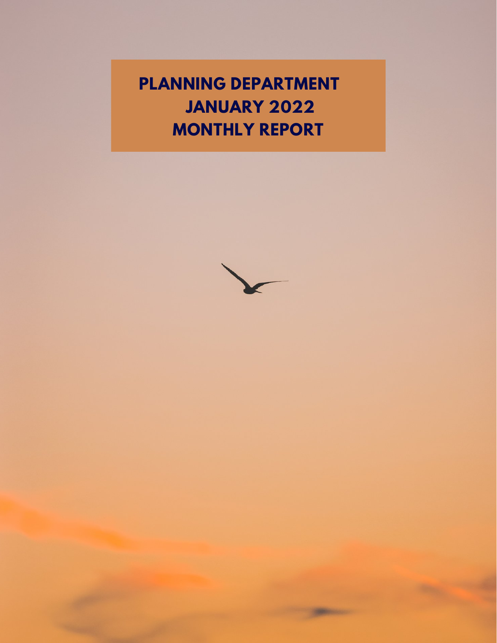**PLANNING DEPARTMENT JANUARY 2022 MONTHLY REPORT**

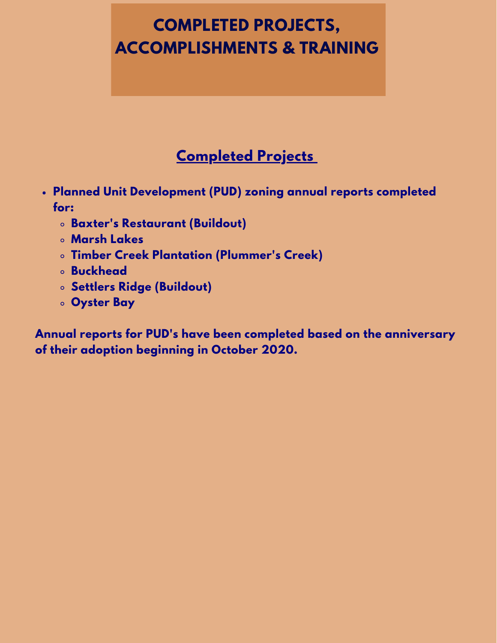# **COMPLETED PROJECTS, ACCOMPLISHMENTS & TRAINING**

## **Completed Projects**

- **Planned Unit Development (PUD) zoning annual reports completed for:**
	- **Baxter's Restaurant (Buildout)**
	- **Marsh Lakes**
	- **Timber Creek Plantation (Plummer's Creek)**
	- **Buckhead**
	- **Settlers Ridge (Buildout)**
	- **Oyster Bay**

**Annual reports for PUD's have been completed based on the anniversary of their adoption beginning in October 2020.**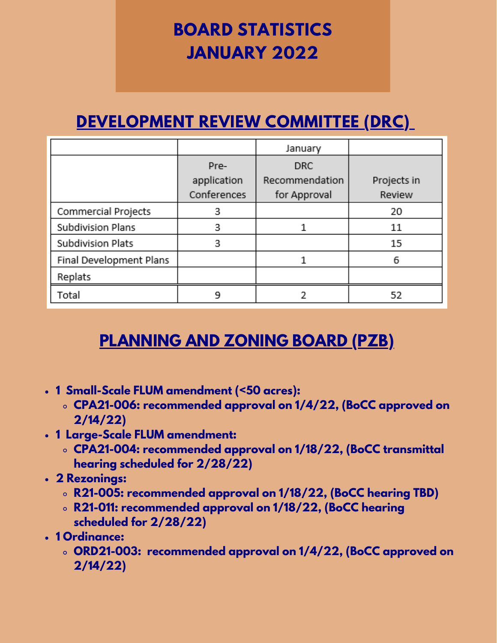# **BOARD STATISTICS JANUARY 2022**

# **DEVELOPMENT REVIEW COMMITTEE (DRC)**

|                         |             | January        |             |
|-------------------------|-------------|----------------|-------------|
|                         | Pre-        | <b>DRC</b>     |             |
|                         | application | Recommendation | Projects in |
|                         | Conferences | for Approval   | Review      |
| Commercial Projects     | 3           |                | 20          |
| Subdivision Plans       | 3           |                | 11          |
| Subdivision Plats       | 3           |                | 15          |
| Final Development Plans |             |                | 6           |
| Replats                 |             |                |             |
| Total                   | ٩           |                | 52          |

## **PLANNING AND ZONING BOARD (PZB)**

- **1 Small-Scale FLUM amendment (<50 acres):**
	- **CPA21-006: recommended approval on 1/4/22, (BoCC approved on 2/14/22)**
- **1 Large-Scale FLUM amendment:**
	- **CPA21-004: recommended approval on 1/18/22, (BoCC transmittal hearing scheduled for 2/28/22)**
- **2 Rezonings:**
	- **R21-005: recommended approval on 1/18/22, (BoCC hearing TBD)**
	- **R21-011: recommended approval on 1/18/22, (BoCC hearing scheduled for 2/28/22)**
- **1 Ordinance:**
	- **ORD21-003: recommended approval on 1/4/22, (BoCC approved on 2/14/22)**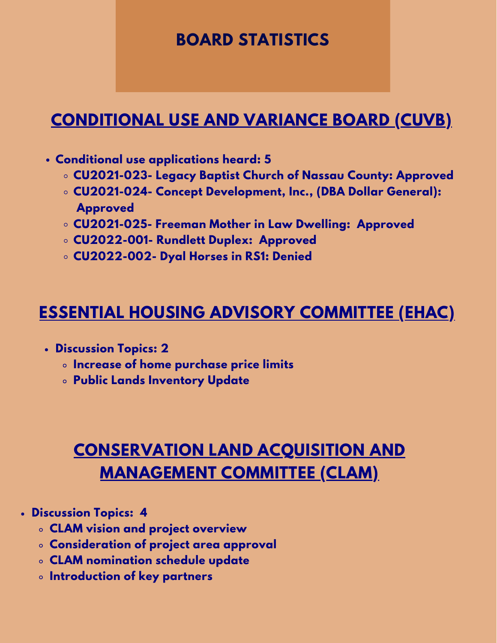## **BOARD STATISTICS**

## **CONDITIONAL USE AND VARIANCE BOARD (CUVB)**

- **Conditional use applications heard: 5**
	- **CU2021-023- Legacy Baptist Church of Nassau County: Approved**
	- **CU2021-024- Concept Development, Inc., (DBA Dollar General): Approved**
	- **CU2021-025- Freeman Mother in Law Dwelling: Approved**
	- **CU2022-001- Rundlett Duplex: Approved**
	- **CU2022-002- Dyal Horses in RS1: Denied**

## **ESSENTIAL HOUSING ADVISORY COMMITTEE (EHAC)**

- **Discussion Topics: 2**
	- **Increase of home purchase price limits**
	- **Public Lands Inventory Update**

# **CONSERVATION LAND ACQUISITION AND MANAGEMENT COMMITTEE (CLAM)**

- **Discussion Topics: 4**
	- **CLAM vision and project overview**
	- **Consideration of project area approval**
	- **CLAM nomination schedule update**
	- **Introduction of key partners**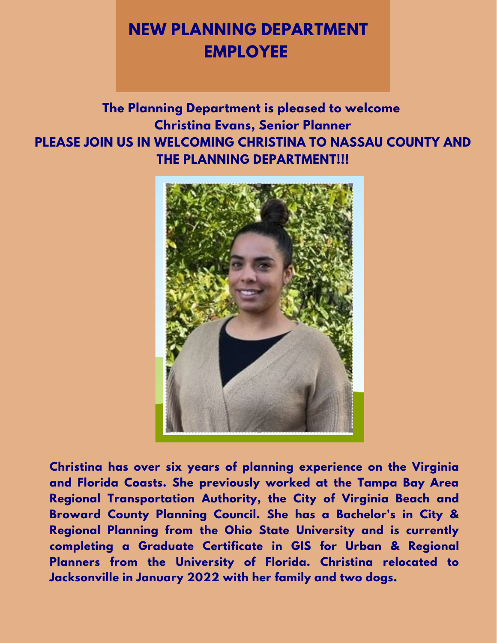# **NEW PLANNING DEPARTMENT EMPLOYEE**

**The Planning Department is pleased to welcome Christina Evans, Senior Planner PLEASE JOIN US IN WELCOMING CHRISTINA TO NASSAU COUNTY AND THE PLANNING DEPARTMENT!!!**



**Christina has over six years of planning experience on the Virginia and Florida Coasts. She previously worked at the Tampa Bay Area Regional Transportation Authority, the City of Virginia Beach and Broward County Planning Council. She has a Bachelor's in City & Regional Planning from the Ohio State University and is currently completing a Graduate Certificate in GIS for Urban & Regional Planners from the University of Florida. Christina relocated to Jacksonville in January 2022 with her family and two dogs.**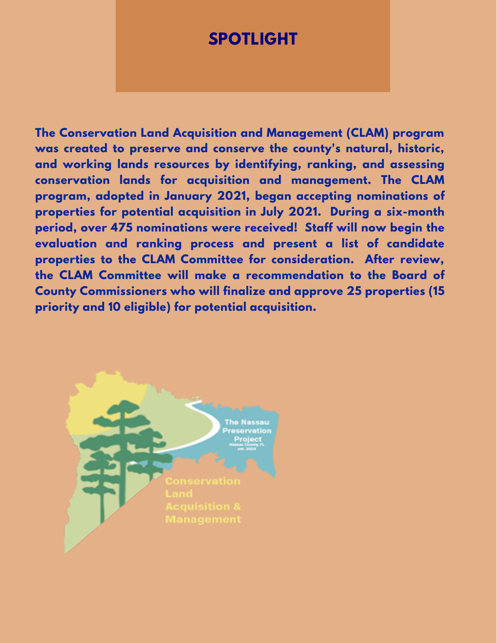### **SPOTLIGHT**

**The Conservation Land Acquisition and Management (CLAM) program was created to preserve and conserve the county's natural, historic, and working lands resources by identifying, ranking, and assessing conservation lands for acquisition and management. The CLAM program, adopted in January 2021, began accepting nominations of properties for potential acquisition in July 2021. During a six-month period, over 475 nominations were received! Staff will now begin the evaluation and ranking process and present a list of candidate properties to the CLAM Committee for consideration. After review, the CLAM Committee will make a recommendation to the Board of County Commissioners who will finalize and approve 25 properties (15 priority and 10 eligible) for potential acquisition.**

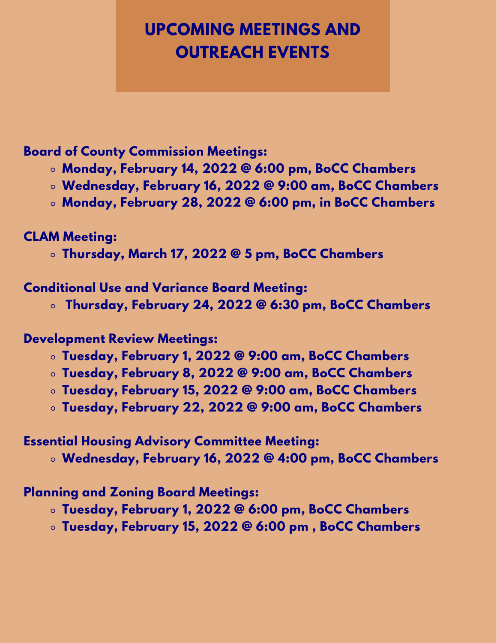# **UPCOMING MEETINGS AND OUTREACH EVENTS**

### **Board of County Commission Meetings:**

- **Monday, February 14, 2022 @ 6:00 pm, BoCC Chambers**
- **Wednesday, February 16, 2022 @ 9:00 am, BoCC Chambers**
- **Monday, February 28, 2022 @ 6:00 pm, in BoCC Chambers**

### **CLAM Meeting:**

**Thursday, March 17, 2022 @ 5 pm, BoCC Chambers**

#### **Conditional Use and Variance Board Meeting:**

**Thursday, February 24, 2022 @ 6:30 pm, BoCC Chambers**

### **Development Review Meetings:**

- **Tuesday, February 1, 2022 @ 9:00 am, BoCC Chambers**
- **Tuesday, February 8, 2022 @ 9:00 am, BoCC Chambers**
- **Tuesday, February 15, 2022 @ 9:00 am, BoCC Chambers**
- **Tuesday, February 22, 2022 @ 9:00 am, BoCC Chambers**

### **Essential Housing Advisory Committee Meeting:**

**Wednesday, February 16, 2022 @ 4:00 pm, BoCC Chambers**

### **Planning and Zoning Board Meetings:**

- **Tuesday, February 1, 2022 @ 6:00 pm, BoCC Chambers**
- **Tuesday, February 15, 2022 @ 6:00 pm , BoCC Chambers**